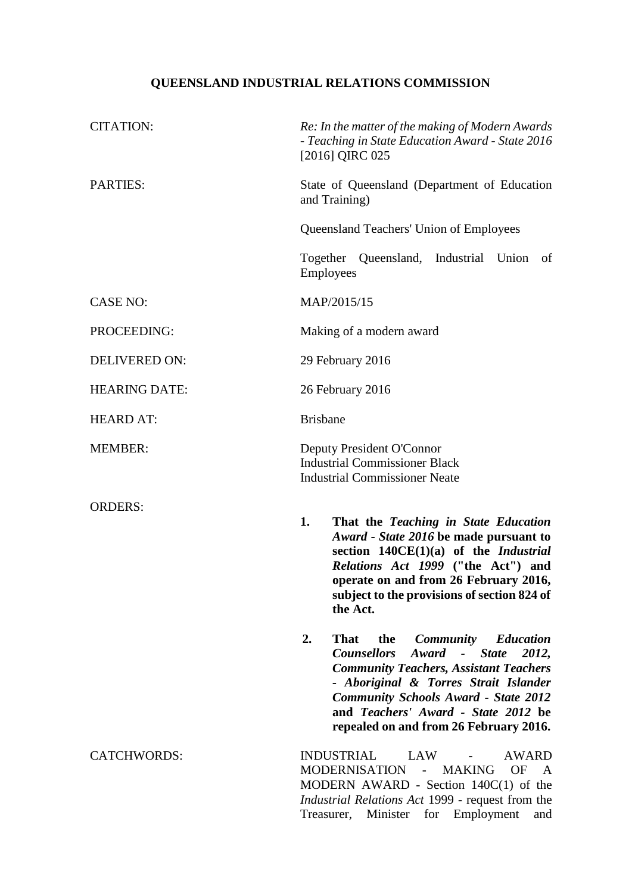## **QUEENSLAND INDUSTRIAL RELATIONS COMMISSION**

| <b>CITATION:</b>     | Re: In the matter of the making of Modern Awards<br>- Teaching in State Education Award - State 2016<br>[2016] QIRC 025                                                                                                                                                                                                                                                                                                                                                                                                                                                                                               |
|----------------------|-----------------------------------------------------------------------------------------------------------------------------------------------------------------------------------------------------------------------------------------------------------------------------------------------------------------------------------------------------------------------------------------------------------------------------------------------------------------------------------------------------------------------------------------------------------------------------------------------------------------------|
| <b>PARTIES:</b>      | State of Queensland (Department of Education<br>and Training)                                                                                                                                                                                                                                                                                                                                                                                                                                                                                                                                                         |
|                      | <b>Queensland Teachers' Union of Employees</b>                                                                                                                                                                                                                                                                                                                                                                                                                                                                                                                                                                        |
|                      | Together Queensland, Industrial Union<br>of<br>Employees                                                                                                                                                                                                                                                                                                                                                                                                                                                                                                                                                              |
| <b>CASE NO:</b>      | MAP/2015/15                                                                                                                                                                                                                                                                                                                                                                                                                                                                                                                                                                                                           |
| PROCEEDING:          | Making of a modern award                                                                                                                                                                                                                                                                                                                                                                                                                                                                                                                                                                                              |
| <b>DELIVERED ON:</b> | 29 February 2016                                                                                                                                                                                                                                                                                                                                                                                                                                                                                                                                                                                                      |
| <b>HEARING DATE:</b> | 26 February 2016                                                                                                                                                                                                                                                                                                                                                                                                                                                                                                                                                                                                      |
| <b>HEARD AT:</b>     | <b>Brisbane</b>                                                                                                                                                                                                                                                                                                                                                                                                                                                                                                                                                                                                       |
| <b>MEMBER:</b>       | Deputy President O'Connor<br><b>Industrial Commissioner Black</b><br><b>Industrial Commissioner Neate</b>                                                                                                                                                                                                                                                                                                                                                                                                                                                                                                             |
| <b>ORDERS:</b>       | 1.<br>That the Teaching in State Education<br>Award - State 2016 be made pursuant to<br>section 140CE(1)(a) of the Industrial<br>Relations Act 1999 ("the Act") and<br>operate on and from 26 February 2016,<br>subject to the provisions of section 824 of<br>the Act.<br>2.<br><b>That</b><br><b>Community</b><br><b>Education</b><br>the<br><b>Counsellors</b><br>Award - State<br>2012,<br><b>Community Teachers, Assistant Teachers</b><br>- Aboriginal & Torres Strait Islander<br><b>Community Schools Award - State 2012</b><br>and Teachers' Award - State 2012 be<br>repealed on and from 26 February 2016. |
| <b>CATCHWORDS:</b>   | <b>INDUSTRIAL</b><br>LAW<br>AWARD<br>MODERNISATION -<br><b>MAKING</b><br><b>OF</b><br>$\mathbf{A}$<br>MODERN AWARD - Section $140C(1)$ of the<br><i>Industrial Relations Act 1999 - request from the</i><br>for Employment<br>Treasurer, Minister<br>and                                                                                                                                                                                                                                                                                                                                                              |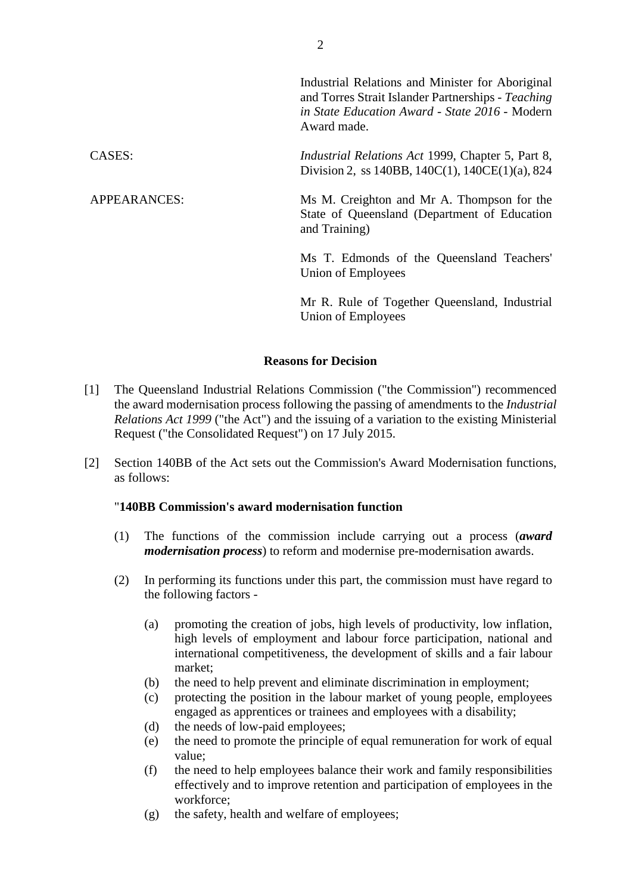|                     | Industrial Relations and Minister for Aboriginal<br>and Torres Strait Islander Partnerships - Teaching<br>in State Education Award - State 2016 - Modern<br>Award made. |
|---------------------|-------------------------------------------------------------------------------------------------------------------------------------------------------------------------|
| CASES:              | <i>Industrial Relations Act 1999, Chapter 5, Part 8,</i><br>Division 2, ss 140BB, 140C(1), 140CE(1)(a), 824                                                             |
| <b>APPEARANCES:</b> | Ms M. Creighton and Mr A. Thompson for the<br>State of Queensland (Department of Education<br>and Training)                                                             |

Ms T. Edmonds of the Queensland Teachers' Union of Employees

Mr R. Rule of Together Queensland, Industrial Union of Employees

## **Reasons for Decision**

- [1] The Queensland Industrial Relations Commission ("the Commission") recommenced the award modernisation process following the passing of amendments to the *Industrial Relations Act 1999* ("the Act") and the issuing of a variation to the existing Ministerial Request ("the Consolidated Request") on 17 July 2015.
- [2] Section 140BB of the Act sets out the Commission's Award Modernisation functions, as follows:

## "**140BB Commission's award modernisation function**

- (1) The functions of the commission include carrying out a process (*award modernisation process*) to reform and modernise pre-modernisation awards.
- (2) In performing its functions under this part, the commission must have regard to the following factors -
	- (a) promoting the creation of jobs, high levels of productivity, low inflation, high levels of employment and labour force participation, national and international competitiveness, the development of skills and a fair labour market;
	- (b) the need to help prevent and eliminate discrimination in employment;
	- (c) protecting the position in the labour market of young people, employees engaged as apprentices or trainees and employees with a disability;
	- (d) the needs of low-paid employees;
	- (e) the need to promote the principle of equal remuneration for work of equal value;
	- (f) the need to help employees balance their work and family responsibilities effectively and to improve retention and participation of employees in the workforce;
	- (g) the safety, health and welfare of employees;